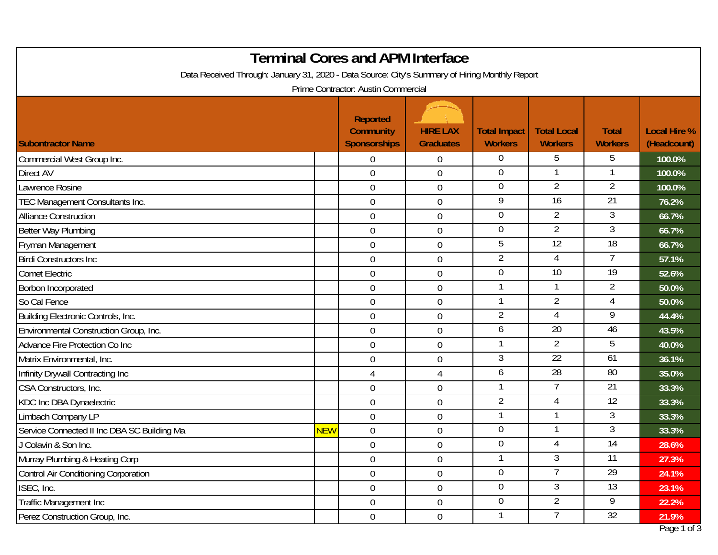| Prime Contractor: Austin Commercial<br><b>Reported</b><br><b>HIRE LAX</b><br><b>Community</b><br><b>Total Impact</b><br><b>Total Local</b><br><b>Local Hire %</b><br><b>Total</b><br><b>Sponsorships</b><br><b>Graduates</b><br><b>Workers</b><br>(Headcount)<br><b>Workers</b><br><b>Workers</b><br>$\overline{0}$<br>5<br>5<br>100.0%<br>$\overline{0}$<br>0<br>$\overline{0}$<br>$\overline{0}$<br>100.0%<br>$\mathbf 0$<br>$\overline{2}$<br>2<br>$\overline{0}$<br>awrence Rosine<br>$\overline{0}$<br>$\boldsymbol{0}$<br>100.0%<br>$\overline{9}$<br>$\overline{21}$<br>$\overline{16}$<br>$\overline{0}$<br>0<br>76.2%<br>$\overline{0}$<br>$\overline{2}$<br>3<br>$\overline{0}$<br>66.7%<br>$\mathbf 0$<br>$\mathbf 0$<br>$\overline{2}$<br>3<br>66.7%<br>$\overline{0}$<br>0<br>$\overline{12}$<br>$\overline{18}$<br>5<br>$\overline{0}$<br>$\mathbf 0$<br>66.7%<br>$\overline{2}$<br>4<br>$\overline{0}$<br>$\boldsymbol{0}$<br>57.1%<br>$\overline{10}$<br>$\overline{19}$<br>$\mathbf 0$<br>$\mathbf 0$<br>$\boldsymbol{0}$<br>52.6%<br>$\mathbf{1}$<br>$\overline{2}$<br>1<br>$\mathbf{0}$<br>50.0%<br>$\mathbf 0$<br>$\overline{2}$<br>-1<br>$\mathbf 0$<br>0<br>50.0%<br>$\overline{2}$<br>9<br>4<br>$\boldsymbol{0}$<br>44.4%<br>$\overline{0}$<br>$\overline{20}$<br>46<br>6<br>$\mathbf 0$<br>43.5%<br>$\mathbf 0$<br>2<br>-1<br>5<br>$\overline{0}$<br>0<br>40.0%<br>$\overline{3}$<br>$\overline{22}$<br>61<br>$\boldsymbol{0}$<br>$\boldsymbol{0}$<br>36.1%<br>$\overline{28}$<br>80<br>6<br>35.0%<br>$\overline{4}$<br>4<br>$\overline{7}$<br>21<br>-1<br>$\mathbf 0$<br>$\mathbf 0$<br>33.3%<br>$\overline{2}$<br>12<br>4<br>33.3%<br>$\mathbf 0$<br>0<br>3<br>-1<br>$\boldsymbol{0}$<br>$\boldsymbol{0}$<br>33.3%<br>$\mathbf 0$<br>3<br><mark>NEW</mark><br>$\mathbf 0$<br>0<br>33.3%<br>$\overline{0}$<br>14<br>4<br>$\mathbf 0$<br>$\mathbf 0$<br>28.6%<br>3<br>11<br>-1<br>$\overline{0}$<br>0<br>27.3%<br>$\overline{29}$<br>$\overline{0}$<br>$\overline{7}$<br>$\overline{0}$<br>$\boldsymbol{0}$<br>24.1%<br>$\overline{0}$<br>3<br>13<br>$\boldsymbol{0}$<br>23.1%<br>$\overline{0}$<br>$\overline{2}$<br>9<br>$\overline{0}$<br>0<br>$\boldsymbol{0}$<br>22.2%<br>32<br>$\mathbf{1}$<br>$\overline{0}$<br>$\boldsymbol{0}$<br>21.9% | <b>Terminal Cores and APM Interface</b>                                                        |  |  |  |  |  |  |             |  |
|--------------------------------------------------------------------------------------------------------------------------------------------------------------------------------------------------------------------------------------------------------------------------------------------------------------------------------------------------------------------------------------------------------------------------------------------------------------------------------------------------------------------------------------------------------------------------------------------------------------------------------------------------------------------------------------------------------------------------------------------------------------------------------------------------------------------------------------------------------------------------------------------------------------------------------------------------------------------------------------------------------------------------------------------------------------------------------------------------------------------------------------------------------------------------------------------------------------------------------------------------------------------------------------------------------------------------------------------------------------------------------------------------------------------------------------------------------------------------------------------------------------------------------------------------------------------------------------------------------------------------------------------------------------------------------------------------------------------------------------------------------------------------------------------------------------------------------------------------------------------------------------------------------------------------------------------------------------------------------------------------------------------------------------------------------------------------------------------------------------------------------------------------------------------------------------------------------------------------------------------------------------------------|------------------------------------------------------------------------------------------------|--|--|--|--|--|--|-------------|--|
|                                                                                                                                                                                                                                                                                                                                                                                                                                                                                                                                                                                                                                                                                                                                                                                                                                                                                                                                                                                                                                                                                                                                                                                                                                                                                                                                                                                                                                                                                                                                                                                                                                                                                                                                                                                                                                                                                                                                                                                                                                                                                                                                                                                                                                                                          | Data Received Through: January 31, 2020 - Data Source: City's Summary of Hiring Monthly Report |  |  |  |  |  |  |             |  |
|                                                                                                                                                                                                                                                                                                                                                                                                                                                                                                                                                                                                                                                                                                                                                                                                                                                                                                                                                                                                                                                                                                                                                                                                                                                                                                                                                                                                                                                                                                                                                                                                                                                                                                                                                                                                                                                                                                                                                                                                                                                                                                                                                                                                                                                                          |                                                                                                |  |  |  |  |  |  |             |  |
|                                                                                                                                                                                                                                                                                                                                                                                                                                                                                                                                                                                                                                                                                                                                                                                                                                                                                                                                                                                                                                                                                                                                                                                                                                                                                                                                                                                                                                                                                                                                                                                                                                                                                                                                                                                                                                                                                                                                                                                                                                                                                                                                                                                                                                                                          | <b>Subontractor Name</b>                                                                       |  |  |  |  |  |  |             |  |
|                                                                                                                                                                                                                                                                                                                                                                                                                                                                                                                                                                                                                                                                                                                                                                                                                                                                                                                                                                                                                                                                                                                                                                                                                                                                                                                                                                                                                                                                                                                                                                                                                                                                                                                                                                                                                                                                                                                                                                                                                                                                                                                                                                                                                                                                          | Commercial West Group Inc.                                                                     |  |  |  |  |  |  |             |  |
|                                                                                                                                                                                                                                                                                                                                                                                                                                                                                                                                                                                                                                                                                                                                                                                                                                                                                                                                                                                                                                                                                                                                                                                                                                                                                                                                                                                                                                                                                                                                                                                                                                                                                                                                                                                                                                                                                                                                                                                                                                                                                                                                                                                                                                                                          | <b>Direct AV</b>                                                                               |  |  |  |  |  |  |             |  |
|                                                                                                                                                                                                                                                                                                                                                                                                                                                                                                                                                                                                                                                                                                                                                                                                                                                                                                                                                                                                                                                                                                                                                                                                                                                                                                                                                                                                                                                                                                                                                                                                                                                                                                                                                                                                                                                                                                                                                                                                                                                                                                                                                                                                                                                                          |                                                                                                |  |  |  |  |  |  |             |  |
|                                                                                                                                                                                                                                                                                                                                                                                                                                                                                                                                                                                                                                                                                                                                                                                                                                                                                                                                                                                                                                                                                                                                                                                                                                                                                                                                                                                                                                                                                                                                                                                                                                                                                                                                                                                                                                                                                                                                                                                                                                                                                                                                                                                                                                                                          | TEC Management Consultants Inc.                                                                |  |  |  |  |  |  |             |  |
|                                                                                                                                                                                                                                                                                                                                                                                                                                                                                                                                                                                                                                                                                                                                                                                                                                                                                                                                                                                                                                                                                                                                                                                                                                                                                                                                                                                                                                                                                                                                                                                                                                                                                                                                                                                                                                                                                                                                                                                                                                                                                                                                                                                                                                                                          | <b>Alliance Construction</b>                                                                   |  |  |  |  |  |  |             |  |
|                                                                                                                                                                                                                                                                                                                                                                                                                                                                                                                                                                                                                                                                                                                                                                                                                                                                                                                                                                                                                                                                                                                                                                                                                                                                                                                                                                                                                                                                                                                                                                                                                                                                                                                                                                                                                                                                                                                                                                                                                                                                                                                                                                                                                                                                          | Better Way Plumbing                                                                            |  |  |  |  |  |  |             |  |
|                                                                                                                                                                                                                                                                                                                                                                                                                                                                                                                                                                                                                                                                                                                                                                                                                                                                                                                                                                                                                                                                                                                                                                                                                                                                                                                                                                                                                                                                                                                                                                                                                                                                                                                                                                                                                                                                                                                                                                                                                                                                                                                                                                                                                                                                          | Fryman Management                                                                              |  |  |  |  |  |  |             |  |
|                                                                                                                                                                                                                                                                                                                                                                                                                                                                                                                                                                                                                                                                                                                                                                                                                                                                                                                                                                                                                                                                                                                                                                                                                                                                                                                                                                                                                                                                                                                                                                                                                                                                                                                                                                                                                                                                                                                                                                                                                                                                                                                                                                                                                                                                          | <b>Birdi Constructors Inc.</b>                                                                 |  |  |  |  |  |  |             |  |
|                                                                                                                                                                                                                                                                                                                                                                                                                                                                                                                                                                                                                                                                                                                                                                                                                                                                                                                                                                                                                                                                                                                                                                                                                                                                                                                                                                                                                                                                                                                                                                                                                                                                                                                                                                                                                                                                                                                                                                                                                                                                                                                                                                                                                                                                          | <b>Comet Electric</b>                                                                          |  |  |  |  |  |  |             |  |
|                                                                                                                                                                                                                                                                                                                                                                                                                                                                                                                                                                                                                                                                                                                                                                                                                                                                                                                                                                                                                                                                                                                                                                                                                                                                                                                                                                                                                                                                                                                                                                                                                                                                                                                                                                                                                                                                                                                                                                                                                                                                                                                                                                                                                                                                          | Borbon Incorporated                                                                            |  |  |  |  |  |  |             |  |
|                                                                                                                                                                                                                                                                                                                                                                                                                                                                                                                                                                                                                                                                                                                                                                                                                                                                                                                                                                                                                                                                                                                                                                                                                                                                                                                                                                                                                                                                                                                                                                                                                                                                                                                                                                                                                                                                                                                                                                                                                                                                                                                                                                                                                                                                          | So Cal Fence                                                                                   |  |  |  |  |  |  |             |  |
|                                                                                                                                                                                                                                                                                                                                                                                                                                                                                                                                                                                                                                                                                                                                                                                                                                                                                                                                                                                                                                                                                                                                                                                                                                                                                                                                                                                                                                                                                                                                                                                                                                                                                                                                                                                                                                                                                                                                                                                                                                                                                                                                                                                                                                                                          | Building Electronic Controls, Inc.                                                             |  |  |  |  |  |  |             |  |
|                                                                                                                                                                                                                                                                                                                                                                                                                                                                                                                                                                                                                                                                                                                                                                                                                                                                                                                                                                                                                                                                                                                                                                                                                                                                                                                                                                                                                                                                                                                                                                                                                                                                                                                                                                                                                                                                                                                                                                                                                                                                                                                                                                                                                                                                          | Environmental Construction Group, Inc.                                                         |  |  |  |  |  |  |             |  |
|                                                                                                                                                                                                                                                                                                                                                                                                                                                                                                                                                                                                                                                                                                                                                                                                                                                                                                                                                                                                                                                                                                                                                                                                                                                                                                                                                                                                                                                                                                                                                                                                                                                                                                                                                                                                                                                                                                                                                                                                                                                                                                                                                                                                                                                                          | Advance Fire Protection Co Inc                                                                 |  |  |  |  |  |  |             |  |
|                                                                                                                                                                                                                                                                                                                                                                                                                                                                                                                                                                                                                                                                                                                                                                                                                                                                                                                                                                                                                                                                                                                                                                                                                                                                                                                                                                                                                                                                                                                                                                                                                                                                                                                                                                                                                                                                                                                                                                                                                                                                                                                                                                                                                                                                          | Matrix Environmental, Inc.                                                                     |  |  |  |  |  |  |             |  |
|                                                                                                                                                                                                                                                                                                                                                                                                                                                                                                                                                                                                                                                                                                                                                                                                                                                                                                                                                                                                                                                                                                                                                                                                                                                                                                                                                                                                                                                                                                                                                                                                                                                                                                                                                                                                                                                                                                                                                                                                                                                                                                                                                                                                                                                                          | Infinity Drywall Contracting Inc                                                               |  |  |  |  |  |  |             |  |
|                                                                                                                                                                                                                                                                                                                                                                                                                                                                                                                                                                                                                                                                                                                                                                                                                                                                                                                                                                                                                                                                                                                                                                                                                                                                                                                                                                                                                                                                                                                                                                                                                                                                                                                                                                                                                                                                                                                                                                                                                                                                                                                                                                                                                                                                          | CSA Constructors, Inc.                                                                         |  |  |  |  |  |  |             |  |
|                                                                                                                                                                                                                                                                                                                                                                                                                                                                                                                                                                                                                                                                                                                                                                                                                                                                                                                                                                                                                                                                                                                                                                                                                                                                                                                                                                                                                                                                                                                                                                                                                                                                                                                                                                                                                                                                                                                                                                                                                                                                                                                                                                                                                                                                          | <b>KDC Inc DBA Dynaelectric</b>                                                                |  |  |  |  |  |  |             |  |
|                                                                                                                                                                                                                                                                                                                                                                                                                                                                                                                                                                                                                                                                                                                                                                                                                                                                                                                                                                                                                                                                                                                                                                                                                                                                                                                                                                                                                                                                                                                                                                                                                                                                                                                                                                                                                                                                                                                                                                                                                                                                                                                                                                                                                                                                          | Limbach Company LP                                                                             |  |  |  |  |  |  |             |  |
|                                                                                                                                                                                                                                                                                                                                                                                                                                                                                                                                                                                                                                                                                                                                                                                                                                                                                                                                                                                                                                                                                                                                                                                                                                                                                                                                                                                                                                                                                                                                                                                                                                                                                                                                                                                                                                                                                                                                                                                                                                                                                                                                                                                                                                                                          | Service Connected II Inc DBA SC Building Ma                                                    |  |  |  |  |  |  |             |  |
|                                                                                                                                                                                                                                                                                                                                                                                                                                                                                                                                                                                                                                                                                                                                                                                                                                                                                                                                                                                                                                                                                                                                                                                                                                                                                                                                                                                                                                                                                                                                                                                                                                                                                                                                                                                                                                                                                                                                                                                                                                                                                                                                                                                                                                                                          | J Colavin & Son Inc.                                                                           |  |  |  |  |  |  |             |  |
|                                                                                                                                                                                                                                                                                                                                                                                                                                                                                                                                                                                                                                                                                                                                                                                                                                                                                                                                                                                                                                                                                                                                                                                                                                                                                                                                                                                                                                                                                                                                                                                                                                                                                                                                                                                                                                                                                                                                                                                                                                                                                                                                                                                                                                                                          | Murray Plumbing & Heating Corp                                                                 |  |  |  |  |  |  |             |  |
|                                                                                                                                                                                                                                                                                                                                                                                                                                                                                                                                                                                                                                                                                                                                                                                                                                                                                                                                                                                                                                                                                                                                                                                                                                                                                                                                                                                                                                                                                                                                                                                                                                                                                                                                                                                                                                                                                                                                                                                                                                                                                                                                                                                                                                                                          | Control Air Conditioning Corporation                                                           |  |  |  |  |  |  |             |  |
|                                                                                                                                                                                                                                                                                                                                                                                                                                                                                                                                                                                                                                                                                                                                                                                                                                                                                                                                                                                                                                                                                                                                                                                                                                                                                                                                                                                                                                                                                                                                                                                                                                                                                                                                                                                                                                                                                                                                                                                                                                                                                                                                                                                                                                                                          | ISEC, Inc.                                                                                     |  |  |  |  |  |  |             |  |
|                                                                                                                                                                                                                                                                                                                                                                                                                                                                                                                                                                                                                                                                                                                                                                                                                                                                                                                                                                                                                                                                                                                                                                                                                                                                                                                                                                                                                                                                                                                                                                                                                                                                                                                                                                                                                                                                                                                                                                                                                                                                                                                                                                                                                                                                          | Traffic Management Inc                                                                         |  |  |  |  |  |  |             |  |
|                                                                                                                                                                                                                                                                                                                                                                                                                                                                                                                                                                                                                                                                                                                                                                                                                                                                                                                                                                                                                                                                                                                                                                                                                                                                                                                                                                                                                                                                                                                                                                                                                                                                                                                                                                                                                                                                                                                                                                                                                                                                                                                                                                                                                                                                          | Perez Construction Group, Inc.                                                                 |  |  |  |  |  |  | Page 1 of 3 |  |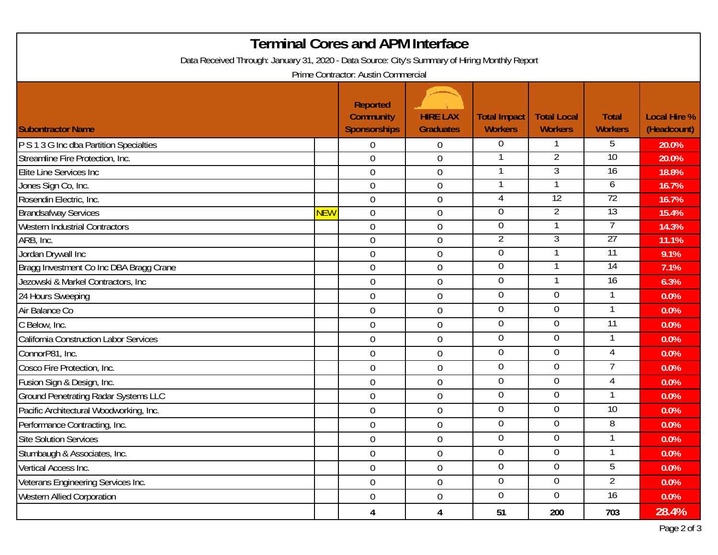| <b>Terminal Cores and APM Interface</b>                                                        |            |                                                            |                                     |                                       |                                      |                                |                                    |  |
|------------------------------------------------------------------------------------------------|------------|------------------------------------------------------------|-------------------------------------|---------------------------------------|--------------------------------------|--------------------------------|------------------------------------|--|
| Data Received Through: January 31, 2020 - Data Source: City's Summary of Hiring Monthly Report |            |                                                            |                                     |                                       |                                      |                                |                                    |  |
| Prime Contractor: Austin Commercial                                                            |            |                                                            |                                     |                                       |                                      |                                |                                    |  |
| <b>Subontractor Name</b>                                                                       |            | <b>Reported</b><br><b>Community</b><br><b>Sponsorships</b> | <b>HIRE LAX</b><br><b>Graduates</b> | <b>Total Impact</b><br><b>Workers</b> | <b>Total Local</b><br><b>Workers</b> | <b>Total</b><br><b>Workers</b> | <b>Local Hire %</b><br>(Headcount) |  |
| P S 1 3 G Inc dba Partition Specialties                                                        |            | $\overline{0}$                                             | $\mathbf 0$                         | $\overline{0}$                        |                                      | 5                              | 20.0%                              |  |
| Streamline Fire Protection, Inc.                                                               |            | $\overline{0}$                                             | $\mathbf 0$                         |                                       | $\overline{2}$                       | 10                             | 20.0%                              |  |
| Elite Line Services Inc                                                                        |            | $\overline{0}$                                             | $\mathbf 0$                         |                                       | 3                                    | $\overline{16}$                | 18.8%                              |  |
| Jones Sign Co, Inc.                                                                            |            | $\mathbf 0$                                                | $\mathbf 0$                         |                                       |                                      | 6                              | 16.7%                              |  |
| Rosendin Electric, Inc.                                                                        |            | $\overline{0}$                                             | $\mathbf 0$                         | 4                                     | 12                                   | 72                             | 16.7%                              |  |
| <b>Brandsafway Services</b>                                                                    | <b>NEW</b> | $\overline{0}$                                             | $\mathbf 0$                         | 0                                     | $\overline{2}$                       | 13                             | 15.4%                              |  |
| <b>Western Industrial Contractors</b>                                                          |            | $\mathbf 0$                                                | $\boldsymbol{0}$                    | 0                                     |                                      |                                | 14.3%                              |  |
| ARB, Inc.                                                                                      |            | $\mathbf 0$                                                | $\mathbf 0$                         | 2                                     | 3                                    | 27                             | 11.1%                              |  |
| Jordan Drywall Inc                                                                             |            | $\mathbf 0$                                                | $\mathbf 0$                         | 0                                     |                                      | 11                             | 9.1%                               |  |
| Bragg Investment Co Inc DBA Bragg Crane                                                        |            | $\overline{0}$                                             | $\mathbf 0$                         | 0                                     |                                      | $\overline{14}$                | 7.1%                               |  |
| Jezowski & Markel Contractors, Inc                                                             |            | $\mathbf 0$                                                | $\boldsymbol{0}$                    | $\mathbf 0$                           | 1                                    | $\overline{16}$                | 6.3%                               |  |
| 24 Hours Sweeping                                                                              |            | $\mathbf 0$                                                | $\mathbf 0$                         | $\mathbf 0$                           | $\mathbf 0$                          |                                | 0.0%                               |  |
| Air Balance Co                                                                                 |            | $\overline{0}$                                             | $\mathbf 0$                         | 0                                     | $\overline{0}$                       |                                | 0.0%                               |  |
| C Below, Inc.                                                                                  |            | $\mathbf 0$                                                | $\boldsymbol{0}$                    | $\overline{0}$                        | $\overline{0}$                       | $\overline{11}$                | 0.0%                               |  |
| California Construction Labor Services                                                         |            | $\overline{0}$                                             | $\mathbf 0$                         | $\mathbf 0$                           | $\mathbf 0$                          |                                | 0.0%                               |  |
| ConnorP81, Inc.                                                                                |            | $\overline{0}$                                             | $\mathbf 0$                         | $\overline{0}$                        | $\overline{0}$                       | 4                              | 0.0%                               |  |
| Cosco Fire Protection, Inc.                                                                    |            | $\overline{0}$                                             | $\mathbf 0$                         | $\overline{0}$                        | $\overline{0}$                       | 7                              | 0.0%                               |  |
| Fusion Sign & Design, Inc.                                                                     |            | $\boldsymbol{0}$                                           | $\mathbf 0$                         | $\overline{0}$                        | $\mathbf 0$                          | 4                              | 0.0%                               |  |
| <b>Ground Penetrating Radar Systems LLC</b>                                                    |            | $\mathbf 0$                                                | $\boldsymbol{0}$                    | 0                                     | $\overline{0}$                       |                                | 0.0%                               |  |
| Pacific Architectural Woodworking, Inc.                                                        |            | $\overline{0}$                                             | $\mathbf 0$                         | $\overline{0}$                        | $\mathbf 0$                          | 10                             | 0.0%                               |  |
| Performance Contracting, Inc.                                                                  |            | $\boldsymbol{0}$                                           | $\mathbf 0$                         | 0                                     | 0                                    | 8                              | 0.0%                               |  |
| Site Solution Services                                                                         |            | $\boldsymbol{0}$                                           | $\boldsymbol{0}$                    | $\pmb{0}$                             | $\pmb{0}$                            | 1                              | $0.0\%$                            |  |
| Stumbaugh & Associates, Inc.                                                                   |            | $\mathbf 0$                                                | $\mathbf 0$                         | $\overline{0}$                        | $\overline{0}$                       | 1                              | 0.0%                               |  |
| Vertical Access Inc.                                                                           |            | $\overline{0}$                                             | $\boldsymbol{0}$                    | $\overline{0}$                        | $\overline{0}$                       | 5                              | 0.0%                               |  |
| Veterans Engineering Services Inc.                                                             |            | $\mathbf 0$                                                | $\boldsymbol{0}$                    | $\overline{0}$                        | $\overline{0}$                       | $\overline{2}$                 | $0.0\%$                            |  |
| <b>Western Allied Corporation</b>                                                              |            | $\overline{0}$                                             | $\boldsymbol{0}$                    | $\overline{0}$                        | $\overline{0}$                       | 16                             | $0.0\%$                            |  |
|                                                                                                |            | 4                                                          | 4                                   | 51                                    | 200                                  | 703                            | 28.4%                              |  |